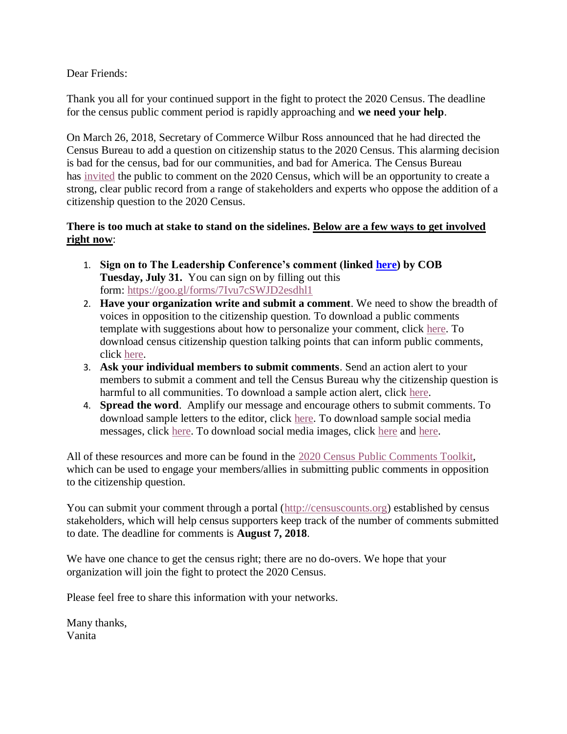Dear Friends:

Thank you all for your continued support in the fight to protect the 2020 Census. The deadline for the census public comment period is rapidly approaching and **we need your help**.

On March 26, 2018, Secretary of Commerce Wilbur Ross announced that he had directed the Census Bureau to add a question on citizenship status to the 2020 Census. This alarming decision is bad for the census, bad for our communities, and bad for America. The Census Bureau has [invited](https://www.federalregister.gov/documents/2018/06/08/2018-12365/proposed-information-collection-comment-request-2020-census) the public to comment on the 2020 Census, which will be an opportunity to create a strong, clear public record from a range of stakeholders and experts who oppose the addition of a citizenship question to the 2020 Census.

## **There is too much at stake to stand on the sidelines. Below are a few ways to get involved right now**:

- 1. **Sign on to The Leadership Conference's comment (linked [here\)](https://censusproject.files.wordpress.com/2018/07/lcchr-frn-comments-cq-07-24-18.pdf) by COB Tuesday, July 31.** You can sign on by filling out this form: <https://goo.gl/forms/7Ivu7cSWJD2esdhl1>
- 2. **Have your organization write and submit a comment**. We need to show the breadth of voices in opposition to the citizenship question. To download a public comments template with suggestions about how to personalize your comment, click [here.](http://civilrightsdocs.info/pdf/census/2020/Census-PRA-Toolkit-Comments-Template.docx) To download census citizenship question talking points that can inform public comments, click [here.](http://civilrightsdocs.info/pdf/census/2020/Census-PRA-Toolkit-TPs.docx)
- 3. **Ask your individual members to submit comments**. Send an action alert to your members to submit a comment and tell the Census Bureau why the citizenship question is harmful to all communities. To download a sample action alert, click [here.](http://civilrightsdocs.info/pdf/census/2020/Census-PRA-Toolkit-Action-Alert.docx)
- 4. **Spread the word**. Amplify our message and encourage others to submit comments. To download sample letters to the editor, click [here.](http://civilrightsdocs.info/pdf/census/2020/Census-PRA-Toolkit-Sample-LTEs.docx) To download sample social media messages, click [here.](http://civilrightsdocs.info/pdf/census/2020/Census-PRA-Toolkit-Sample-Social-Media.docx) To download social media images, click [here](http://civilrightsdocs.info/photos/SaveTheCensus-1.jpg) and [here.](http://civilrightsdocs.info/photos/SaveTheCensus-2.jpg)

All of these resources and more can be found in the [2020 Census Public Comments Toolkit,](http://civilrightsdocs.info/pdf/census/2020/Census-PRA-Toolkit.pdf) which can be used to engage your members/allies in submitting public comments in opposition to the citizenship question.

You can submit your comment through a portal [\(http://censuscounts.org\)](https://urldefense.proofpoint.com/v2/url?u=http-3A__censuscounts.org&d=DwMFAg&c=1IUvw6fBZaO6DQT7_qzSfw&r=f1wkuBym4LZMamYKWmhwQQ&m=j7YumUtPdYdxlWbvayU-GmKO2c6PaB94B07sdLHq4FU&s=RKZS0aUmpLusgVUAlrft8EfUQcthz-KXT34US5mwRYU&e=) established by census stakeholders, which will help census supporters keep track of the number of comments submitted to date. The deadline for comments is **August 7, 2018**.

We have one chance to get the census right; there are no do-overs. We hope that your organization will join the fight to protect the 2020 Census.

Please feel free to share this information with your networks.

Many thanks, Vanita